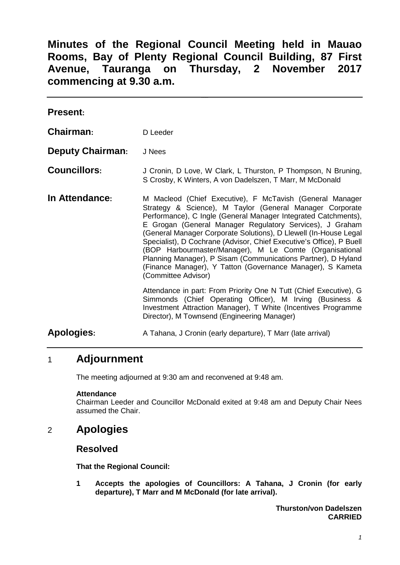**Minutes of the Regional Council Meeting held in Mauao Rooms, Bay of Plenty Regional Council Building, 87 First Avenue, Tauranga on Thursday, 2 November 2017 commencing at 9.30 a.m.**

| <b>Present:</b>         |                                                                                                                                                                                                                                                                                                                                                                                                                                                                                                                                                                                                                 |
|-------------------------|-----------------------------------------------------------------------------------------------------------------------------------------------------------------------------------------------------------------------------------------------------------------------------------------------------------------------------------------------------------------------------------------------------------------------------------------------------------------------------------------------------------------------------------------------------------------------------------------------------------------|
| <b>Chairman:</b>        | D Leeder                                                                                                                                                                                                                                                                                                                                                                                                                                                                                                                                                                                                        |
| <b>Deputy Chairman:</b> | J Nees                                                                                                                                                                                                                                                                                                                                                                                                                                                                                                                                                                                                          |
| <b>Councillors:</b>     | J Cronin, D Love, W Clark, L Thurston, P Thompson, N Bruning,<br>S Crosby, K Winters, A von Dadelszen, T Marr, M McDonald                                                                                                                                                                                                                                                                                                                                                                                                                                                                                       |
| In Attendance:          | M Macleod (Chief Executive), F McTavish (General Manager<br>Strategy & Science), M Taylor (General Manager Corporate<br>Performance), C Ingle (General Manager Integrated Catchments),<br>E Grogan (General Manager Regulatory Services), J Graham<br>(General Manager Corporate Solutions), D Llewell (In-House Legal<br>Specialist), D Cochrane (Advisor, Chief Executive's Office), P Buell<br>(BOP Harbourmaster/Manager), M Le Comte (Organisational<br>Planning Manager), P Sisam (Communications Partner), D Hyland<br>(Finance Manager), Y Tatton (Governance Manager), S Kameta<br>(Committee Advisor) |
|                         | Attendance in part: From Priority One N Tutt (Chief Executive), G<br>Simmonds (Chief Operating Officer), M Irving (Business &<br>Investment Attraction Manager), T White (Incentives Programme<br>Director), M Townsend (Engineering Manager)                                                                                                                                                                                                                                                                                                                                                                   |
| <b>Apologies:</b>       | A Tahana, J Cronin (early departure), T Marr (late arrival)                                                                                                                                                                                                                                                                                                                                                                                                                                                                                                                                                     |

# 1 **Adjournment**

The meeting adjourned at 9:30 am and reconvened at 9:48 am.

#### **Attendance**

Chairman Leeder and Councillor McDonald exited at 9:48 am and Deputy Chair Nees assumed the Chair.

# 2 **Apologies**

## **Resolved**

**That the Regional Council:**

**1 Accepts the apologies of Councillors: A Tahana, J Cronin (for early departure), T Marr and M McDonald (for late arrival).**

> **Thurston/von Dadelszen CARRIED**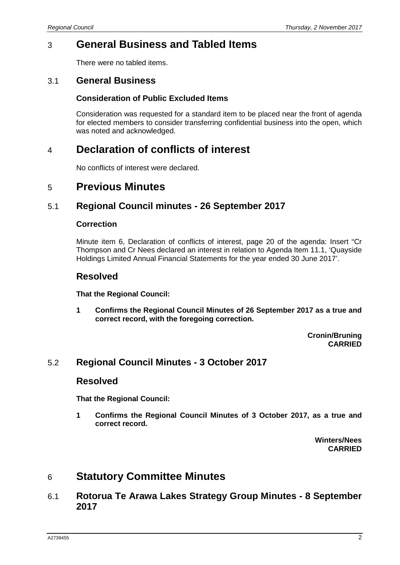# 3 **General Business and Tabled Items**

There were no tabled items.

### 3.1 **General Business**

#### **Consideration of Public Excluded Items**

Consideration was requested for a standard item to be placed near the front of agenda for elected members to consider transferring confidential business into the open, which was noted and acknowledged.

# 4 **Declaration of conflicts of interest**

No conflicts of interest were declared.

# 5 **Previous Minutes**

### 5.1 **Regional Council minutes - 26 September 2017**

#### **Correction**

Minute item 6, Declaration of conflicts of interest, page 20 of the agenda: Insert "Cr Thompson and Cr Nees declared an interest in relation to Agenda Item 11.1, 'Quayside Holdings Limited Annual Financial Statements for the year ended 30 June 2017'.

### **Resolved**

**That the Regional Council:**

**1 Confirms the Regional Council Minutes of 26 September 2017 as a true and correct record, with the foregoing correction.**

> **Cronin/Bruning CARRIED**

### 5.2 **Regional Council Minutes - 3 October 2017**

### **Resolved**

**That the Regional Council:**

**1 Confirms the Regional Council Minutes of 3 October 2017, as a true and correct record.**

> **Winters/Nees CARRIED**

# 6 **Statutory Committee Minutes**

6.1 **Rotorua Te Arawa Lakes Strategy Group Minutes - 8 September 2017**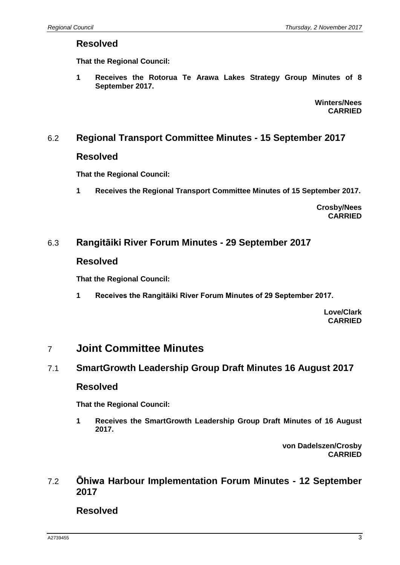## **Resolved**

**That the Regional Council:**

**1 Receives the Rotorua Te Arawa Lakes Strategy Group Minutes of 8 September 2017.**

> **Winters/Nees CARRIED**

# 6.2 **Regional Transport Committee Minutes - 15 September 2017**

## **Resolved**

**That the Regional Council:**

**1 Receives the Regional Transport Committee Minutes of 15 September 2017.**

**Crosby/Nees CARRIED**

# 6.3 **Rangitāiki River Forum Minutes - 29 September 2017**

## **Resolved**

**That the Regional Council:**

**1 Receives the Rangitāiki River Forum Minutes of 29 September 2017.**

**Love/Clark CARRIED**

# 7 **Joint Committee Minutes**

# 7.1 **SmartGrowth Leadership Group Draft Minutes 16 August 2017**

## **Resolved**

**That the Regional Council:**

**1 Receives the SmartGrowth Leadership Group Draft Minutes of 16 August 2017.**

> **von Dadelszen/Crosby CARRIED**

## 7.2 **Ōhiwa Harbour Implementation Forum Minutes - 12 September 2017**

**Resolved**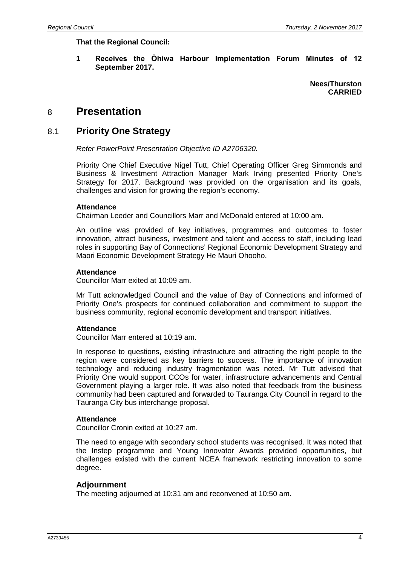**That the Regional Council:**

**1 Receives the Ōhiwa Harbour Implementation Forum Minutes of 12 September 2017.**

> **Nees/Thurston CARRIED**

# 8 **Presentation**

### 8.1 **Priority One Strategy**

*Refer PowerPoint Presentation Objective ID A2706320.*

Priority One Chief Executive Nigel Tutt, Chief Operating Officer Greg Simmonds and Business & Investment Attraction Manager Mark Irving presented Priority One's Strategy for 2017. Background was provided on the organisation and its goals, challenges and vision for growing the region's economy.

#### **Attendance**

Chairman Leeder and Councillors Marr and McDonald entered at 10:00 am.

An outline was provided of key initiatives, programmes and outcomes to foster innovation, attract business, investment and talent and access to staff, including lead roles in supporting Bay of Connections' Regional Economic Development Strategy and Maori Economic Development Strategy He Mauri Ohooho.

#### **Attendance**

Councillor Marr exited at 10:09 am.

Mr Tutt acknowledged Council and the value of Bay of Connections and informed of Priority One's prospects for continued collaboration and commitment to support the business community, regional economic development and transport initiatives.

#### **Attendance**

Councillor Marr entered at 10:19 am.

In response to questions, existing infrastructure and attracting the right people to the region were considered as key barriers to success. The importance of innovation technology and reducing industry fragmentation was noted. Mr Tutt advised that Priority One would support CCOs for water, infrastructure advancements and Central Government playing a larger role. It was also noted that feedback from the business community had been captured and forwarded to Tauranga City Council in regard to the Tauranga City bus interchange proposal.

#### **Attendance**

Councillor Cronin exited at 10:27 am.

The need to engage with secondary school students was recognised. It was noted that the Instep programme and Young Innovator Awards provided opportunities, but challenges existed with the current NCEA framework restricting innovation to some degree.

#### **Adjournment**

The meeting adjourned at 10:31 am and reconvened at 10:50 am.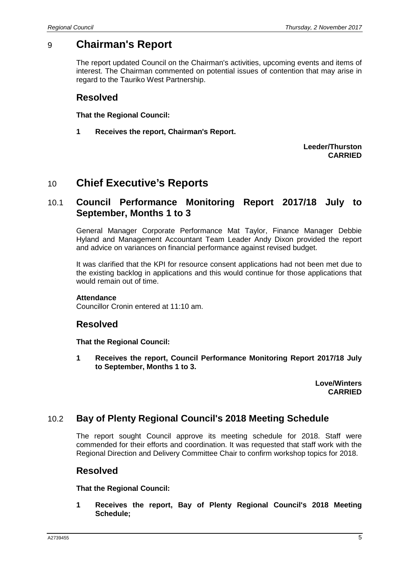# 9 **Chairman's Report**

The report updated Council on the Chairman's activities, upcoming events and items of interest. The Chairman commented on potential issues of contention that may arise in regard to the Tauriko West Partnership.

## **Resolved**

**That the Regional Council:**

**1 Receives the report, Chairman's Report.**

**Leeder/Thurston CARRIED**

# 10 **Chief Executive's Reports**

## 10.1 **Council Performance Monitoring Report 2017/18 July to September, Months 1 to 3**

General Manager Corporate Performance Mat Taylor, Finance Manager Debbie Hyland and Management Accountant Team Leader Andy Dixon provided the report and advice on variances on financial performance against revised budget.

It was clarified that the KPI for resource consent applications had not been met due to the existing backlog in applications and this would continue for those applications that would remain out of time.

#### **Attendance**

Councillor Cronin entered at 11:10 am.

### **Resolved**

**That the Regional Council:**

**1 Receives the report, Council Performance Monitoring Report 2017/18 July to September, Months 1 to 3.**

> **Love/Winters CARRIED**

## 10.2 **Bay of Plenty Regional Council's 2018 Meeting Schedule**

The report sought Council approve its meeting schedule for 2018. Staff were commended for their efforts and coordination. It was requested that staff work with the Regional Direction and Delivery Committee Chair to confirm workshop topics for 2018.

### **Resolved**

**That the Regional Council:**

**1 Receives the report, Bay of Plenty Regional Council's 2018 Meeting Schedule;**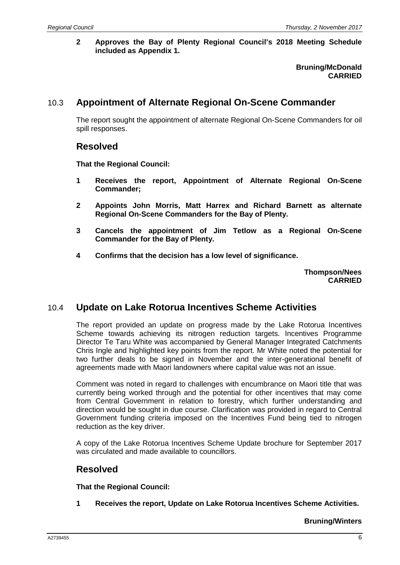**2 Approves the Bay of Plenty Regional Council's 2018 Meeting Schedule included as Appendix 1.**

> **Bruning/McDonald CARRIED**

## 10.3 **Appointment of Alternate Regional On-Scene Commander**

The report sought the appointment of alternate Regional On-Scene Commanders for oil spill responses.

### **Resolved**

**That the Regional Council:**

- **1 Receives the report, Appointment of Alternate Regional On-Scene Commander;**
- **2 Appoints John Morris, Matt Harrex and Richard Barnett as alternate Regional On-Scene Commanders for the Bay of Plenty.**
- **3 Cancels the appointment of Jim Tetlow as a Regional On-Scene Commander for the Bay of Plenty.**
- **4 Confirms that the decision has a low level of significance.**

**Thompson/Nees CARRIED**

### 10.4 **Update on Lake Rotorua Incentives Scheme Activities**

The report provided an update on progress made by the Lake Rotorua Incentives Scheme towards achieving its nitrogen reduction targets. Incentives Programme Director Te Taru White was accompanied by General Manager Integrated Catchments Chris Ingle and highlighted key points from the report. Mr White noted the potential for two further deals to be signed in November and the inter-generational benefit of agreements made with Maori landowners where capital value was not an issue.

Comment was noted in regard to challenges with encumbrance on Maori title that was currently being worked through and the potential for other incentives that may come from Central Government in relation to forestry, which further understanding and direction would be sought in due course. Clarification was provided in regard to Central Government funding criteria imposed on the Incentives Fund being tied to nitrogen reduction as the key driver.

A copy of the Lake Rotorua Incentives Scheme Update brochure for September 2017 was circulated and made available to councillors.

### **Resolved**

**That the Regional Council:**

**1 Receives the report, Update on Lake Rotorua Incentives Scheme Activities.**

**Bruning/Winters**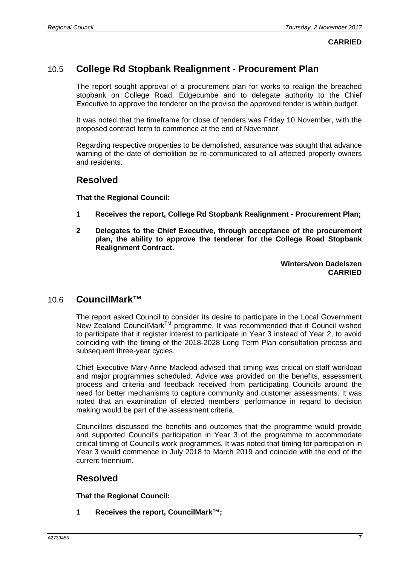**CARRIED**

### 10.5 **College Rd Stopbank Realignment - Procurement Plan**

The report sought approval of a procurement plan for works to realign the breached stopbank on College Road, Edgecumbe and to delegate authority to the Chief Executive to approve the tenderer on the proviso the approved tender is within budget.

It was noted that the timeframe for close of tenders was Friday 10 November, with the proposed contract term to commence at the end of November.

Regarding respective properties to be demolished, assurance was sought that advance warning of the date of demolition be re-communicated to all affected property owners and residents.

### **Resolved**

**That the Regional Council:**

- **1 Receives the report, College Rd Stopbank Realignment - Procurement Plan;**
- **2 Delegates to the Chief Executive, through acceptance of the procurement plan, the ability to approve the tenderer for the College Road Stopbank Realignment Contract.**

**Winters/von Dadelszen CARRIED**

#### 10.6 **CouncilMark™**

The report asked Council to consider its desire to participate in the Local Government New Zealand CouncilMark<sup>™</sup> programme. It was recommended that if Council wished to participate that it register interest to participate in Year 3 instead of Year 2, to avoid coinciding with the timing of the 2018-2028 Long Term Plan consultation process and subsequent three-year cycles.

Chief Executive Mary-Anne Macleod advised that timing was critical on staff workload and major programmes scheduled. Advice was provided on the benefits, assessment process and criteria and feedback received from participating Councils around the need for better mechanisms to capture community and customer assessments. It was noted that an examination of elected members' performance in regard to decision making would be part of the assessment criteria.

Councillors discussed the benefits and outcomes that the programme would provide and supported Council's participation in Year 3 of the programme to accommodate critical timing of Council's work programmes. It was noted that timing for participation in Year 3 would commence in July 2018 to March 2019 and coincide with the end of the current triennium.

## **Resolved**

**That the Regional Council:**

**1 Receives the report, CouncilMark™;**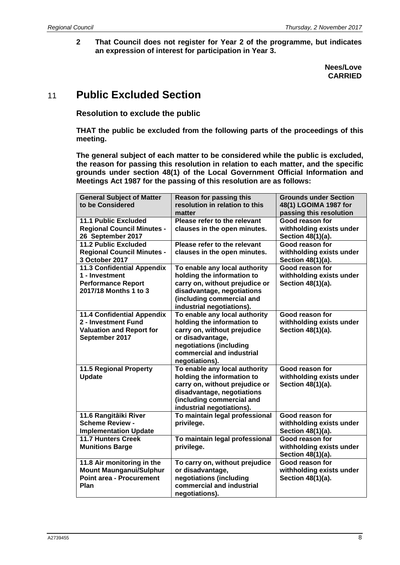**2 That Council does not register for Year 2 of the programme, but indicates an expression of interest for participation in Year 3.**

> **Nees/Love CARRIED**

# 11 **Public Excluded Section**

**Resolution to exclude the public**

**THAT the public be excluded from the following parts of the proceedings of this meeting.**

**The general subject of each matter to be considered while the public is excluded, the reason for passing this resolution in relation to each matter, and the specific grounds under section 48(1) of the Local Government Official Information and Meetings Act 1987 for the passing of this resolution are as follows:**

| <b>General Subject of Matter</b>  | <b>Reason for passing this</b> | <b>Grounds under Section</b> |
|-----------------------------------|--------------------------------|------------------------------|
| to be Considered                  | resolution in relation to this | 48(1) LGOIMA 1987 for        |
|                                   | matter                         | passing this resolution      |
| <b>11.1 Public Excluded</b>       | Please refer to the relevant   | Good reason for              |
| <b>Regional Council Minutes -</b> | clauses in the open minutes.   | withholding exists under     |
| 26 September 2017                 |                                | Section 48(1)(a).            |
| <b>11.2 Public Excluded</b>       | Please refer to the relevant   | Good reason for              |
| <b>Regional Council Minutes -</b> | clauses in the open minutes.   | withholding exists under     |
| 3 October 2017                    |                                | Section 48(1)(a).            |
| <b>11.3 Confidential Appendix</b> | To enable any local authority  | Good reason for              |
| 1 - Investment                    | holding the information to     | withholding exists under     |
| <b>Performance Report</b>         | carry on, without prejudice or | Section 48(1)(a).            |
| 2017/18 Months 1 to 3             | disadvantage, negotiations     |                              |
|                                   | (including commercial and      |                              |
|                                   | industrial negotiations).      |                              |
| <b>11.4 Confidential Appendix</b> | To enable any local authority  | Good reason for              |
| 2 - Investment Fund               | holding the information to     | withholding exists under     |
| <b>Valuation and Report for</b>   | carry on, without prejudice    | Section 48(1)(a).            |
| September 2017                    | or disadvantage,               |                              |
|                                   | negotiations (including        |                              |
|                                   | commercial and industrial      |                              |
|                                   | negotiations).                 |                              |
| <b>11.5 Regional Property</b>     | To enable any local authority  | Good reason for              |
| <b>Update</b>                     | holding the information to     | withholding exists under     |
|                                   | carry on, without prejudice or | Section 48(1)(a).            |
|                                   | disadvantage, negotiations     |                              |
|                                   | (including commercial and      |                              |
|                                   | industrial negotiations).      |                              |
| 11.6 Rangitāiki River             | To maintain legal professional | Good reason for              |
| <b>Scheme Review -</b>            | privilege.                     | withholding exists under     |
| <b>Implementation Update</b>      |                                | Section 48(1)(a).            |
| <b>11.7 Hunters Creek</b>         | To maintain legal professional | Good reason for              |
| <b>Munitions Barge</b>            | privilege.                     | withholding exists under     |
|                                   |                                | Section 48(1)(a).            |
| 11.8 Air monitoring in the        | To carry on, without prejudice | Good reason for              |
| <b>Mount Maunganui/Sulphur</b>    | or disadvantage,               | withholding exists under     |
| <b>Point area - Procurement</b>   | negotiations (including        | Section 48(1)(a).            |
| Plan                              | commercial and industrial      |                              |
|                                   | negotiations).                 |                              |